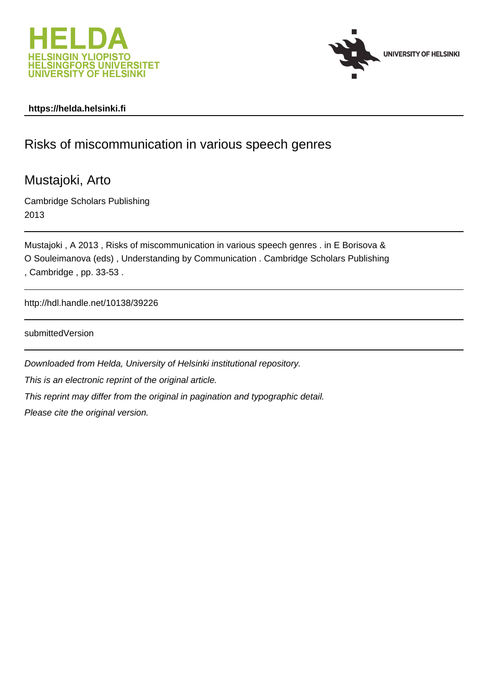



### **https://helda.helsinki.fi**

# Risks of miscommunication in various speech genres

Mustajoki, Arto

Cambridge Scholars Publishing 2013

Mustajoki , A 2013 , Risks of miscommunication in various speech genres . in E Borisova & O Souleimanova (eds) , Understanding by Communication . Cambridge Scholars Publishing , Cambridge , pp. 33-53 .

http://hdl.handle.net/10138/39226

submittedVersion

Downloaded from Helda, University of Helsinki institutional repository. This is an electronic reprint of the original article. This reprint may differ from the original in pagination and typographic detail. Please cite the original version.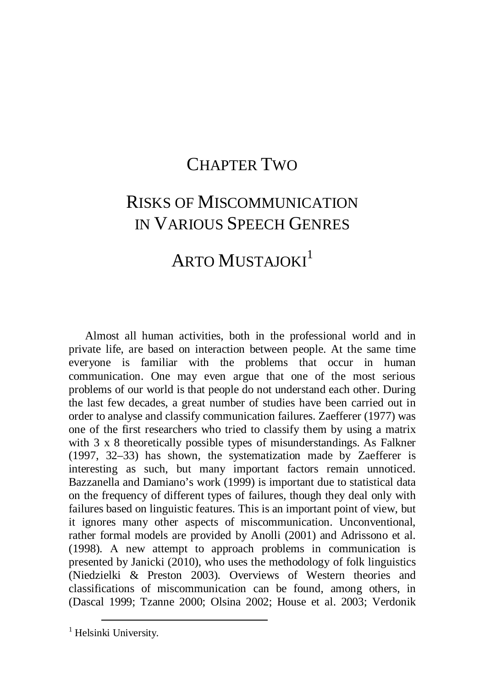### [C](#page-1-0)HAPTER TWO

## <span id="page-1-0"></span>RISKS OF MISCOMMUNICATION IN VARIOUS SPEECH GENRES

## ARTO MUSTAJOKI<sup>[1](#page-1-1)</sup>

Almost all human activities, both in the professional world and in private life, are based on interaction between people. At the same time everyone is familiar with the problems that occur in human communication. One may even argue that one of the most serious problems of our world is that people do not understand each other. During the last few decades, a great number of studies have been carried out in order to analyse and classify communication failures. Zaefferer (1977) was one of the first researchers who tried to classify them by using a matrix with 3 x 8 theoretically possible types of misunderstandings. As Falkner (1997, 32–33) has shown, the systematization made by Zaefferer is interesting as such, but many important factors remain unnoticed. Bazzanella and Damiano's work (1999) is important due to statistical data on the frequency of different types of failures, though they deal only with failures based on linguistic features. This is an important point of view, but it ignores many other aspects of miscommunication. Unconventional, rather formal models are provided by Anolli (2001) and Adrissono et al. (1998). A new attempt to approach problems in communication is presented by Janicki (2010), who uses the methodology of folk linguistics (Niedzielki & Preston 2003). Overviews of Western theories and classifications of miscommunication can be found, among others, in (Dascal 1999; Tzanne 2000; Olsina 2002; House et al. 2003; Verdonik

 $\overline{a}$ 

<span id="page-1-1"></span><sup>&</sup>lt;sup>1</sup> Helsinki University.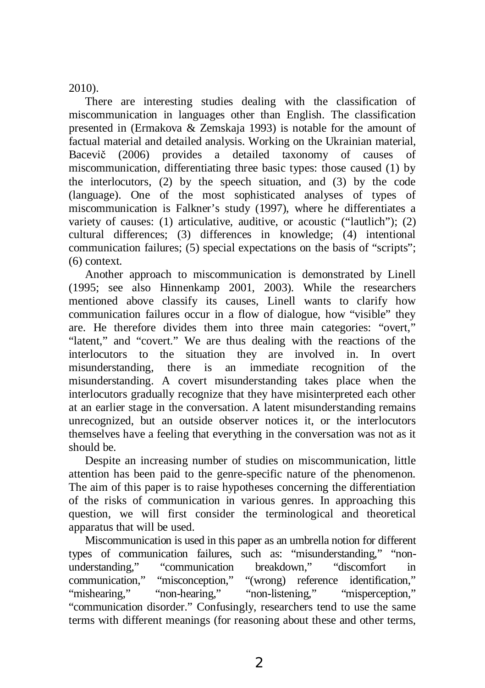2010).

There are interesting studies dealing with the classification of miscommunication in languages other than English. The classification presented in (Ermakova & Zemskaja 1993) is notable for the amount of factual material and detailed analysis. Working on the Ukrainian material, Bacevič (2006) provides a detailed taxonomy of causes of miscommunication, differentiating three basic types: those caused (1) by the interlocutors, (2) by the speech situation, and (3) by the code (language). One of the most sophisticated analyses of types of miscommunication is Falkner's study (1997), where he differentiates a variety of causes: (1) articulative, auditive, or acoustic ("lautlich"); (2) cultural differences; (3) differences in knowledge; (4) intentional communication failures; (5) special expectations on the basis of "scripts"; (6) context.

Another approach to miscommunication is demonstrated by Linell (1995; see also Hinnenkamp 2001, 2003). While the researchers mentioned above classify its causes, Linell wants to clarify how communication failures occur in a flow of dialogue, how "visible" they are. He therefore divides them into three main categories: "overt," "latent," and "covert." We are thus dealing with the reactions of the interlocutors to the situation they are involved in. In overt misunderstanding, there is an immediate recognition of the misunderstanding. A covert misunderstanding takes place when the interlocutors gradually recognize that they have misinterpreted each other at an earlier stage in the conversation. A latent misunderstanding remains unrecognized, but an outside observer notices it, or the interlocutors themselves have a feeling that everything in the conversation was not as it should be.

Despite an increasing number of studies on miscommunication, little attention has been paid to the genre-specific nature of the phenomenon. The aim of this paper is to raise hypotheses concerning the differentiation of the risks of communication in various genres. In approaching this question, we will first consider the terminological and theoretical apparatus that will be used.

Miscommunication is used in this paper as an umbrella notion for different types of communication failures, such as: "misunderstanding," "nonunderstanding," "communication breakdown," "discomfort in communication," "misconception," "(wrong) reference identification," "mishearing," "non-hearing," "non-listening," "misperception," "communication disorder." Confusingly, researchers tend to use the same terms with different meanings (for reasoning about these and other terms,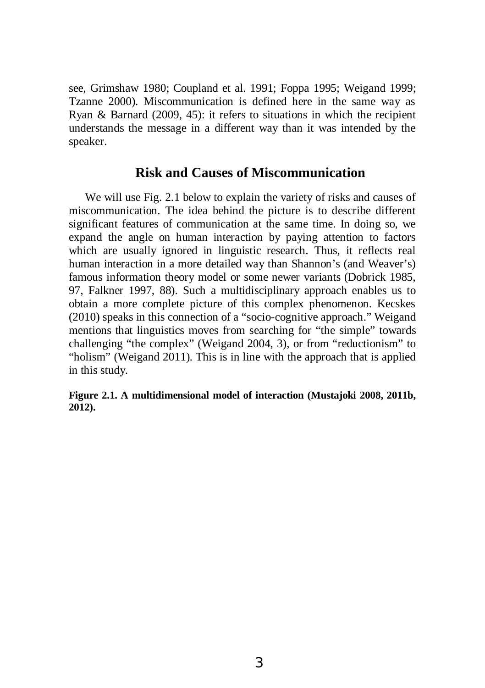see, Grimshaw 1980; Coupland et al. 1991; Foppa 1995; Weigand 1999; Tzanne 2000). Miscommunication is defined here in the same way as Ryan & Barnard (2009, 45): it refers to situations in which the recipient understands the message in a different way than it was intended by the speaker.

#### **Risk and Causes of Miscommunication**

We will use Fig. 2.1 below to explain the variety of risks and causes of miscommunication. The idea behind the picture is to describe different significant features of communication at the same time. In doing so, we expand the angle on human interaction by paying attention to factors which are usually ignored in linguistic research. Thus, it reflects real human interaction in a more detailed way than Shannon's (and Weaver's) famous information theory model or some newer variants (Dobrick 1985, 97, Falkner 1997, 88). Such a multidisciplinary approach enables us to obtain a more complete picture of this complex phenomenon. Kecskes (2010) speaks in this connection of a "socio-cognitive approach." Weigand mentions that linguistics moves from searching for "the simple" towards challenging "the complex" (Weigand 2004, 3), or from "reductionism" to "holism" (Weigand 2011). This is in line with the approach that is applied in this study.

#### **Figure 2.1. A multidimensional model of interaction (Mustajoki 2008, 2011b, 2012).**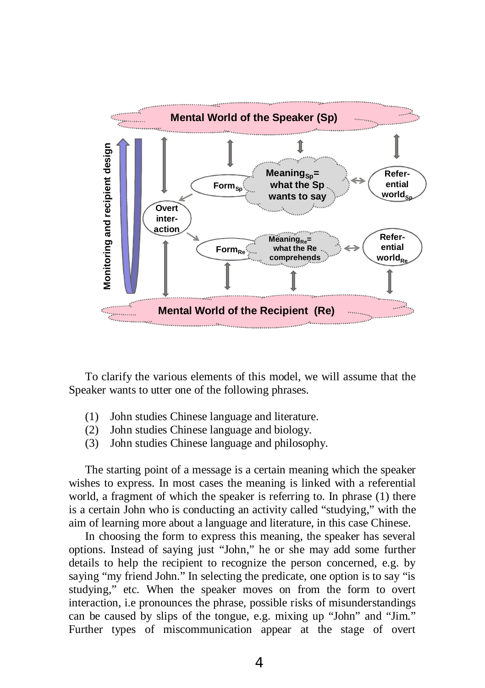

To clarify the various elements of this model, we will assume that the Speaker wants to utter one of the following phrases.

- (1) John studies Chinese language and literature.
- (2) John studies Chinese language and biology.
- (3) John studies Chinese language and philosophy.

The starting point of a message is a certain meaning which the speaker wishes to express. In most cases the meaning is linked with a referential world, a fragment of which the speaker is referring to. In phrase (1) there is a certain John who is conducting an activity called "studying," with the aim of learning more about a language and literature, in this case Chinese.

In choosing the form to express this meaning, the speaker has several options. Instead of saying just "John," he or she may add some further details to help the recipient to recognize the person concerned, e.g. by saying "my friend John." In selecting the predicate, one option is to say "is studying," etc. When the speaker moves on from the form to overt interaction, i.e pronounces the phrase, possible risks of misunderstandings can be caused by slips of the tongue, e.g. mixing up "John" and "Jim*.*" Further types of miscommunication appear at the stage of overt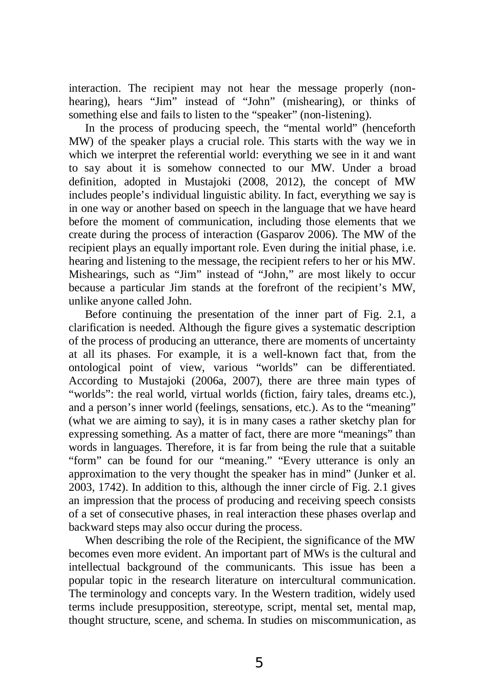interaction. The recipient may not hear the message properly (nonhearing), hears "Jim" instead of "John" (mishearing), or thinks of something else and fails to listen to the "speaker" (non-listening).

In the process of producing speech, the "mental world" (henceforth MW) of the speaker plays a crucial role. This starts with the way we in which we interpret the referential world: everything we see in it and want to say about it is somehow connected to our MW. Under a broad definition, adopted in Mustajoki (2008, 2012), the concept of MW includes people's individual linguistic ability. In fact, everything we say is in one way or another based on speech in the language that we have heard before the moment of communication, including those elements that we create during the process of interaction (Gasparov 2006). The MW of the recipient plays an equally important role. Even during the initial phase, i.e. hearing and listening to the message, the recipient refers to her or his MW. Mishearings, such as "Jim" instead of "John*,*" are most likely to occur because a particular Jim stands at the forefront of the recipient's MW, unlike anyone called John.

Before continuing the presentation of the inner part of Fig. 2.1, a clarification is needed. Although the figure gives a systematic description of the process of producing an utterance, there are moments of uncertainty at all its phases. For example, it is a well-known fact that, from the ontological point of view, various "worlds" can be differentiated. According to Mustajoki (2006a, 2007), there are three main types of "worlds": the real world, virtual worlds (fiction, fairy tales, dreams etc.), and a person's inner world (feelings, sensations, etc.). As to the "meaning" (what we are aiming to say), it is in many cases a rather sketchy plan for expressing something. As a matter of fact, there are more "meanings" than words in languages. Therefore, it is far from being the rule that a suitable "form" can be found for our "meaning." "Every utterance is only an approximation to the very thought the speaker has in mind" (Junker et al. 2003, 1742). In addition to this, although the inner circle of Fig. 2.1 gives an impression that the process of producing and receiving speech consists of a set of consecutive phases, in real interaction these phases overlap and backward steps may also occur during the process.

When describing the role of the Recipient, the significance of the MW becomes even more evident. An important part of MWs is the cultural and intellectual background of the communicants. This issue has been a popular topic in the research literature on intercultural communication. The terminology and concepts vary. In the Western tradition, widely used terms include presupposition, stereotype, script, mental set, mental map, thought structure, scene, and schema. In studies on miscommunication, as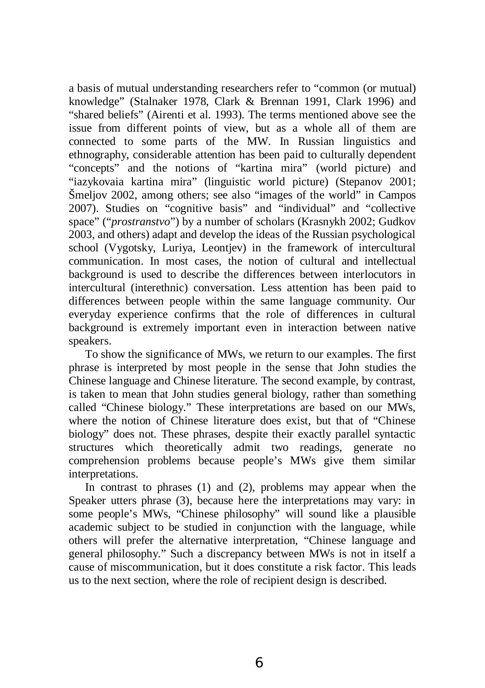a basis of mutual understanding researchers refer to "common (or mutual) knowledge" (Stalnaker 1978, Clark & Brennan 1991, Clark 1996) and "shared beliefs" (Airenti et al. 1993). The terms mentioned above see the issue from different points of view, but as a whole all of them are connected to some parts of the MW. In Russian linguistics and ethnography, considerable attention has been paid to culturally dependent "concepts" and the notions of "kartina mira" (world picture) and "iazykovaia kartina mira" (linguistic world picture) (Stepanov 2001; Šmeljov 2002, among others; see also "images of the world" in Campos 2007). Studies on "cognitive basis" and "individual" and "collective space" ("*prostranstvo*") by a number of scholars (Krasnykh 2002; Gudkov 2003, and others) adapt and develop the ideas of the Russian psychological school (Vygotsky, Luriya, Leontiev) in the framework of intercultural communication. In most cases, the notion of cultural and intellectual background is used to describe the differences between interlocutors in intercultural (interethnic) conversation. Less attention has been paid to differences between people within the same language community. Our everyday experience confirms that the role of differences in cultural background is extremely important even in interaction between native speakers.

To show the significance of MWs, we return to our examples. The first phrase is interpreted by most people in the sense that John studies the Chinese language and Chinese literature. The second example, by contrast, is taken to mean that John studies general biology, rather than something called "Chinese biology." These interpretations are based on our MWs, where the notion of Chinese literature does exist, but that of "Chinese biology" does not. These phrases, despite their exactly parallel syntactic structures which theoretically admit two readings, generate no comprehension problems because people's MWs give them similar interpretations.

In contrast to phrases (1) and (2), problems may appear when the Speaker utters phrase (3), because here the interpretations may vary: in some people's MWs, "Chinese philosophy" will sound like a plausible academic subject to be studied in conjunction with the language, while others will prefer the alternative interpretation, "Chinese language and general philosophy." Such a discrepancy between MWs is not in itself a cause of miscommunication, but it does constitute a risk factor. This leads us to the next section, where the role of recipient design is described.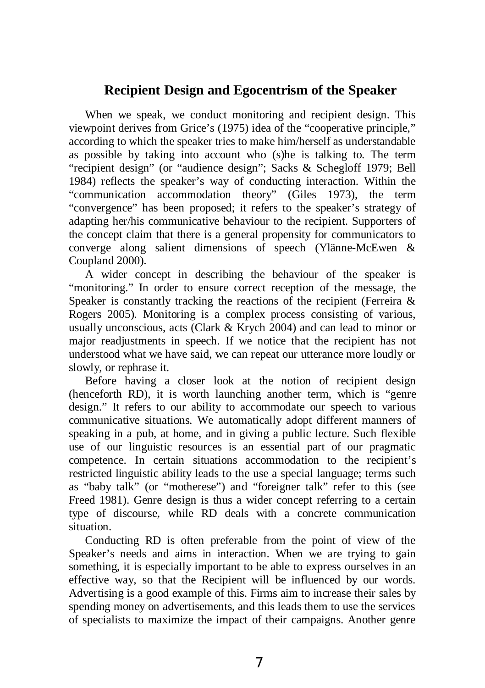#### **Recipient Design and Egocentrism of the Speaker**

When we speak, we conduct monitoring and recipient design. This viewpoint derives from Grice's (1975) idea of the "cooperative principle," according to which the speaker tries to make him/herself as understandable as possible by taking into account who (s)he is talking to. The term "recipient design" (or "audience design"; Sacks & Schegloff 1979; Bell 1984) reflects the speaker's way of conducting interaction. Within the "communication accommodation theory" (Giles 1973), the term "convergence" has been proposed; it refers to the speaker's strategy of adapting her/his communicative behaviour to the recipient. Supporters of the concept claim that there is a general propensity for communicators to converge along salient dimensions of speech (Ylänne-McEwen & Coupland 2000).

A wider concept in describing the behaviour of the speaker is "monitoring." In order to ensure correct reception of the message, the Speaker is constantly tracking the reactions of the recipient (Ferreira & Rogers 2005). Monitoring is a complex process consisting of various, usually unconscious, acts (Clark & Krych 2004) and can lead to minor or major readjustments in speech. If we notice that the recipient has not understood what we have said, we can repeat our utterance more loudly or slowly, or rephrase it.

Before having a closer look at the notion of recipient design (henceforth RD), it is worth launching another term, which is "genre design." It refers to our ability to accommodate our speech to various communicative situations. We automatically adopt different manners of speaking in a pub, at home, and in giving a public lecture. Such flexible use of our linguistic resources is an essential part of our pragmatic competence. In certain situations accommodation to the recipient's restricted linguistic ability leads to the use a special language; terms such as "baby talk" (or "motherese") and "foreigner talk" refer to this (see Freed 1981). Genre design is thus a wider concept referring to a certain type of discourse, while RD deals with a concrete communication situation.

Conducting RD is often preferable from the point of view of the Speaker's needs and aims in interaction. When we are trying to gain something, it is especially important to be able to express ourselves in an effective way, so that the Recipient will be influenced by our words. Advertising is a good example of this. Firms aim to increase their sales by spending money on advertisements, and this leads them to use the services of specialists to maximize the impact of their campaigns. Another genre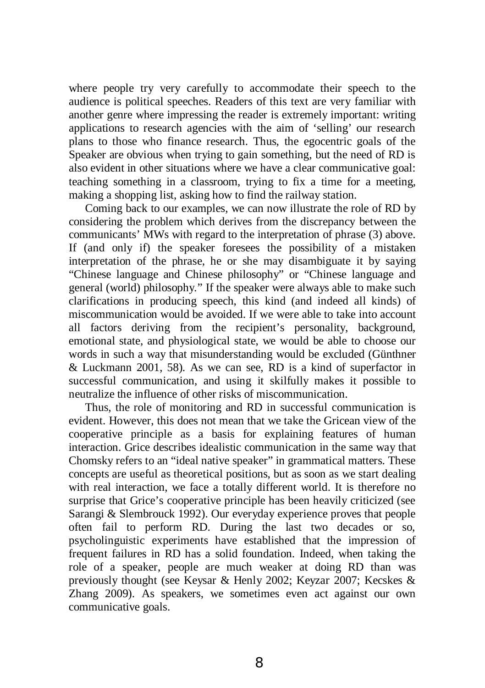where people try very carefully to accommodate their speech to the audience is political speeches. Readers of this text are very familiar with another genre where impressing the reader is extremely important: writing applications to research agencies with the aim of 'selling' our research plans to those who finance research. Thus, the egocentric goals of the Speaker are obvious when trying to gain something, but the need of RD is also evident in other situations where we have a clear communicative goal: teaching something in a classroom, trying to fix a time for a meeting, making a shopping list, asking how to find the railway station.

Coming back to our examples, we can now illustrate the role of RD by considering the problem which derives from the discrepancy between the communicants' MWs with regard to the interpretation of phrase (3) above. If (and only if) the speaker foresees the possibility of a mistaken interpretation of the phrase, he or she may disambiguate it by saying "Chinese language and Chinese philosophy" or "Chinese language and general (world) philosophy*.*" If the speaker were always able to make such clarifications in producing speech, this kind (and indeed all kinds) of miscommunication would be avoided. If we were able to take into account all factors deriving from the recipient's personality, background, emotional state, and physiological state, we would be able to choose our words in such a way that misunderstanding would be excluded (Günthner & Luckmann 2001, 58). As we can see, RD is a kind of superfactor in successful communication, and using it skilfully makes it possible to neutralize the influence of other risks of miscommunication.

Thus, the role of monitoring and RD in successful communication is evident. However, this does not mean that we take the Gricean view of the cooperative principle as a basis for explaining features of human interaction. Grice describes idealistic communication in the same way that Chomsky refers to an "ideal native speaker" in grammatical matters. These concepts are useful as theoretical positions, but as soon as we start dealing with real interaction, we face a totally different world. It is therefore no surprise that Grice's cooperative principle has been heavily criticized (see Sarangi & Slembrouck 1992). Our everyday experience proves that people often fail to perform RD. During the last two decades or so, psycholinguistic experiments have established that the impression of frequent failures in RD has a solid foundation. Indeed, when taking the role of a speaker, people are much weaker at doing RD than was previously thought (see Keysar & Henly 2002; Keyzar 2007; Kecskes & Zhang 2009). As speakers, we sometimes even act against our own communicative goals.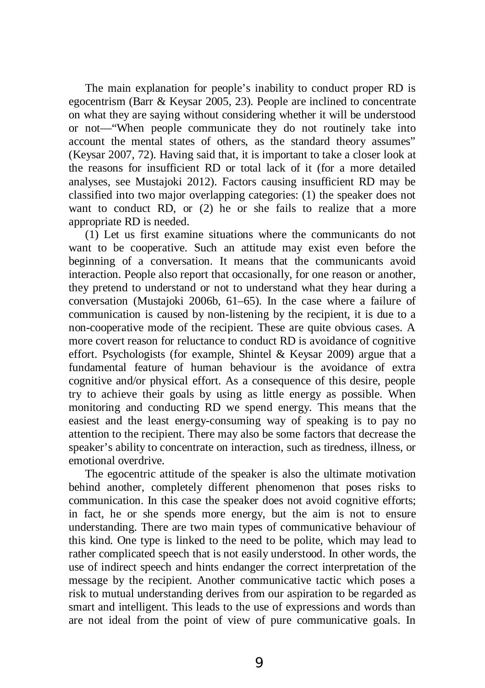The main explanation for people's inability to conduct proper RD is egocentrism (Barr & Keysar 2005, 23). People are inclined to concentrate on what they are saying without considering whether it will be understood or not—"When people communicate they do not routinely take into account the mental states of others, as the standard theory assumes" (Keysar 2007, 72). Having said that, it is important to take a closer look at the reasons for insufficient RD or total lack of it (for a more detailed analyses, see Mustajoki 2012). Factors causing insufficient RD may be classified into two major overlapping categories: (1) the speaker does not want to conduct RD, or (2) he or she fails to realize that a more appropriate RD is needed.

(1) Let us first examine situations where the communicants do not want to be cooperative. Such an attitude may exist even before the beginning of a conversation. It means that the communicants avoid interaction. People also report that occasionally, for one reason or another, they pretend to understand or not to understand what they hear during a conversation (Mustajoki 2006b, 61–65). In the case where a failure of communication is caused by non-listening by the recipient, it is due to a non-cooperative mode of the recipient. These are quite obvious cases. A more covert reason for reluctance to conduct RD is avoidance of cognitive effort. Psychologists (for example, Shintel & Keysar 2009) argue that a fundamental feature of human behaviour is the avoidance of extra cognitive and/or physical effort. As a consequence of this desire, people try to achieve their goals by using as little energy as possible. When monitoring and conducting RD we spend energy. This means that the easiest and the least energy-consuming way of speaking is to pay no attention to the recipient. There may also be some factors that decrease the speaker's ability to concentrate on interaction, such as tiredness, illness, or emotional overdrive.

The egocentric attitude of the speaker is also the ultimate motivation behind another, completely different phenomenon that poses risks to communication. In this case the speaker does not avoid cognitive efforts; in fact, he or she spends more energy, but the aim is not to ensure understanding. There are two main types of communicative behaviour of this kind. One type is linked to the need to be polite, which may lead to rather complicated speech that is not easily understood. In other words, the use of indirect speech and hints endanger the correct interpretation of the message by the recipient. Another communicative tactic which poses a risk to mutual understanding derives from our aspiration to be regarded as smart and intelligent. This leads to the use of expressions and words than are not ideal from the point of view of pure communicative goals. In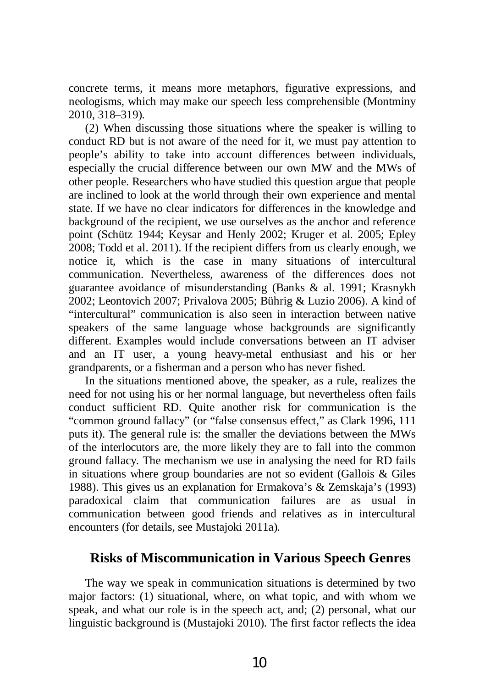concrete terms, it means more metaphors, figurative expressions, and neologisms, which may make our speech less comprehensible (Montminy 2010, 318–319).

(2) When discussing those situations where the speaker is willing to conduct RD but is not aware of the need for it, we must pay attention to people's ability to take into account differences between individuals, especially the crucial difference between our own MW and the MWs of other people. Researchers who have studied this question argue that people are inclined to look at the world through their own experience and mental state. If we have no clear indicators for differences in the knowledge and background of the recipient, we use ourselves as the anchor and reference point (Schütz 1944; Keysar and Henly 2002; Kruger et al. 2005; Epley 2008; Todd et al. 2011). If the recipient differs from us clearly enough, we notice it, which is the case in many situations of intercultural communication. Nevertheless, awareness of the differences does not guarantee avoidance of misunderstanding (Banks & al. 1991; Krasnykh 2002; Leontovich 2007; Privalova 2005; Bührig & Luzio 2006). A kind of "intercultural" communication is also seen in interaction between native speakers of the same language whose backgrounds are significantly different. Examples would include conversations between an IT adviser and an IT user, a young heavy-metal enthusiast and his or her grandparents, or a fisherman and a person who has never fished.

In the situations mentioned above, the speaker, as a rule, realizes the need for not using his or her normal language, but nevertheless often fails conduct sufficient RD. Quite another risk for communication is the "common ground fallacy" (or "false consensus effect," as Clark 1996, 111 puts it). The general rule is: the smaller the deviations between the MWs of the interlocutors are, the more likely they are to fall into the common ground fallacy. The mechanism we use in analysing the need for RD fails in situations where group boundaries are not so evident (Gallois & Giles 1988). This gives us an explanation for Ermakova's & Zemskaja's (1993) paradoxical claim that communication failures are as usual in communication between good friends and relatives as in intercultural encounters (for details, see Mustajoki 2011a).

#### **Risks of Miscommunication in Various Speech Genres**

The way we speak in communication situations is determined by two major factors: (1) situational, where, on what topic, and with whom we speak, and what our role is in the speech act, and; (2) personal, what our linguistic background is (Mustajoki 2010). The first factor reflects the idea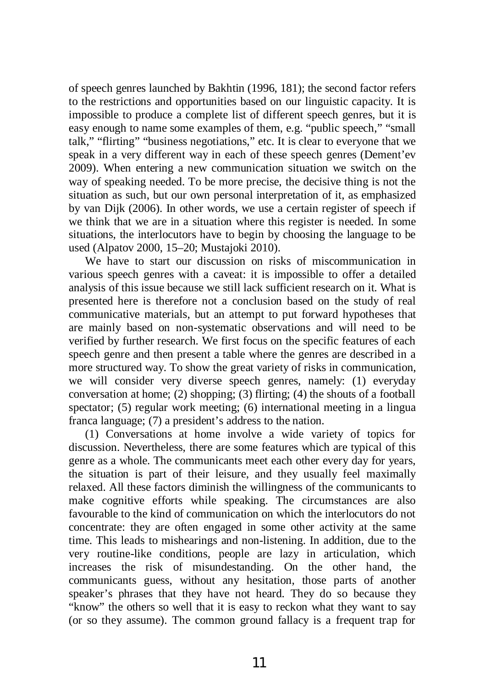of speech genres launched by Bakhtin (1996, 181); the second factor refers to the restrictions and opportunities based on our linguistic capacity. It is impossible to produce a complete list of different speech genres, but it is easy enough to name some examples of them, e.g. "public speech," "small talk," "flirting" "business negotiations," etc. It is clear to everyone that we speak in a very different way in each of these speech genres (Dement'ev 2009). When entering a new communication situation we switch on the way of speaking needed. To be more precise, the decisive thing is not the situation as such, but our own personal interpretation of it, as emphasized by van Dijk (2006). In other words, we use a certain register of speech if we think that we are in a situation where this register is needed. In some situations, the interlocutors have to begin by choosing the language to be used (Alpatov 2000, 15–20; Mustajoki 2010).

We have to start our discussion on risks of miscommunication in various speech genres with a caveat: it is impossible to offer a detailed analysis of this issue because we still lack sufficient research on it. What is presented here is therefore not a conclusion based on the study of real communicative materials, but an attempt to put forward hypotheses that are mainly based on non-systematic observations and will need to be verified by further research. We first focus on the specific features of each speech genre and then present a table where the genres are described in a more structured way. To show the great variety of risks in communication, we will consider very diverse speech genres, namely: (1) everyday conversation at home; (2) shopping; (3) flirting; (4) the shouts of a football spectator; (5) regular work meeting; (6) international meeting in a lingua franca language; (7) a president's address to the nation.

(1) Conversations at home involve a wide variety of topics for discussion. Nevertheless, there are some features which are typical of this genre as a whole. The communicants meet each other every day for years, the situation is part of their leisure, and they usually feel maximally relaxed. All these factors diminish the willingness of the communicants to make cognitive efforts while speaking. The circumstances are also favourable to the kind of communication on which the interlocutors do not concentrate: they are often engaged in some other activity at the same time. This leads to mishearings and non-listening. In addition, due to the very routine-like conditions, people are lazy in articulation, which increases the risk of misundestanding. On the other hand, the communicants guess, without any hesitation, those parts of another speaker's phrases that they have not heard. They do so because they "know" the others so well that it is easy to reckon what they want to say (or so they assume). The common ground fallacy is a frequent trap for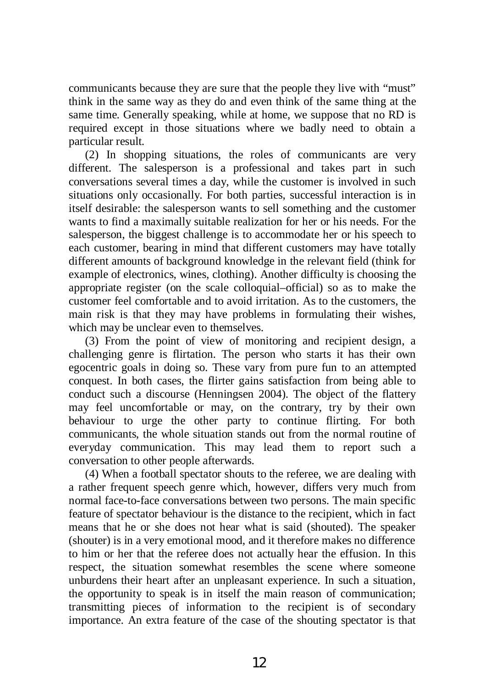communicants because they are sure that the people they live with "must" think in the same way as they do and even think of the same thing at the same time. Generally speaking, while at home, we suppose that no RD is required except in those situations where we badly need to obtain a particular result.

(2) In shopping situations, the roles of communicants are very different. The salesperson is a professional and takes part in such conversations several times a day, while the customer is involved in such situations only occasionally. For both parties, successful interaction is in itself desirable: the salesperson wants to sell something and the customer wants to find a maximally suitable realization for her or his needs. For the salesperson, the biggest challenge is to accommodate her or his speech to each customer, bearing in mind that different customers may have totally different amounts of background knowledge in the relevant field (think for example of electronics, wines, clothing). Another difficulty is choosing the appropriate register (on the scale colloquial–official) so as to make the customer feel comfortable and to avoid irritation. As to the customers, the main risk is that they may have problems in formulating their wishes, which may be unclear even to themselves.

(3) From the point of view of monitoring and recipient design, a challenging genre is flirtation. The person who starts it has their own egocentric goals in doing so. These vary from pure fun to an attempted conquest. In both cases, the flirter gains satisfaction from being able to conduct such a discourse (Henningsen 2004). The object of the flattery may feel uncomfortable or may, on the contrary, try by their own behaviour to urge the other party to continue flirting. For both communicants, the whole situation stands out from the normal routine of everyday communication. This may lead them to report such a conversation to other people afterwards.

(4) When a football spectator shouts to the referee, we are dealing with a rather frequent speech genre which, however, differs very much from normal face-to-face conversations between two persons. The main specific feature of spectator behaviour is the distance to the recipient, which in fact means that he or she does not hear what is said (shouted). The speaker (shouter) is in a very emotional mood, and it therefore makes no difference to him or her that the referee does not actually hear the effusion. In this respect, the situation somewhat resembles the scene where someone unburdens their heart after an unpleasant experience. In such a situation, the opportunity to speak is in itself the main reason of communication; transmitting pieces of information to the recipient is of secondary importance. An extra feature of the case of the shouting spectator is that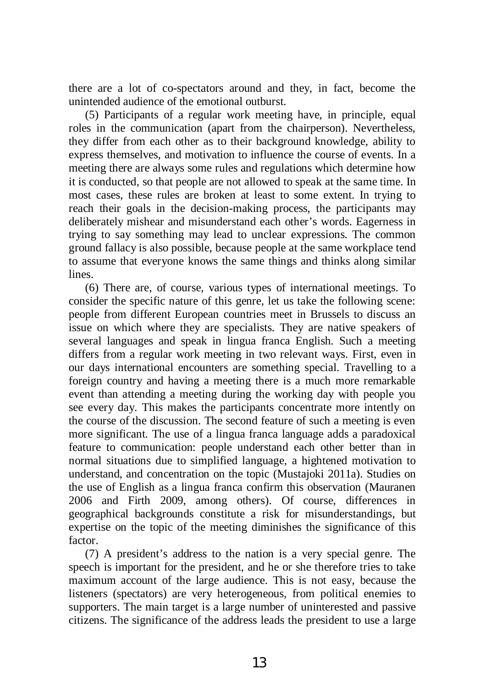there are a lot of co-spectators around and they, in fact, become the unintended audience of the emotional outburst.

(5) Participants of a regular work meeting have, in principle, equal roles in the communication (apart from the chairperson). Nevertheless, they differ from each other as to their background knowledge, ability to express themselves, and motivation to influence the course of events. In a meeting there are always some rules and regulations which determine how it is conducted, so that people are not allowed to speak at the same time. In most cases, these rules are broken at least to some extent. In trying to reach their goals in the decision-making process, the participants may deliberately mishear and misunderstand each other's words. Eagerness in trying to say something may lead to unclear expressions. The common ground fallacy is also possible, because people at the same workplace tend to assume that everyone knows the same things and thinks along similar lines.

(6) There are, of course, various types of international meetings. To consider the specific nature of this genre, let us take the following scene: people from different European countries meet in Brussels to discuss an issue on which where they are specialists. They are native speakers of several languages and speak in lingua franca English. Such a meeting differs from a regular work meeting in two relevant ways. First, even in our days international encounters are something special. Travelling to a foreign country and having a meeting there is a much more remarkable event than attending a meeting during the working day with people you see every day. This makes the participants concentrate more intently on the course of the discussion. The second feature of such a meeting is even more significant. The use of a lingua franca language adds a paradoxical feature to communication: people understand each other better than in normal situations due to simplified language, a hightened motivation to understand, and concentration on the topic (Mustajoki 2011a). Studies on the use of English as a lingua franca confirm this observation (Mauranen 2006 and Firth 2009, among others). Of course, differences in geographical backgrounds constitute a risk for misunderstandings, but expertise on the topic of the meeting diminishes the significance of this factor.

(7) A president's address to the nation is a very special genre. The speech is important for the president, and he or she therefore tries to take maximum account of the large audience. This is not easy, because the listeners (spectators) are very heterogeneous, from political enemies to supporters. The main target is a large number of uninterested and passive citizens. The significance of the address leads the president to use a large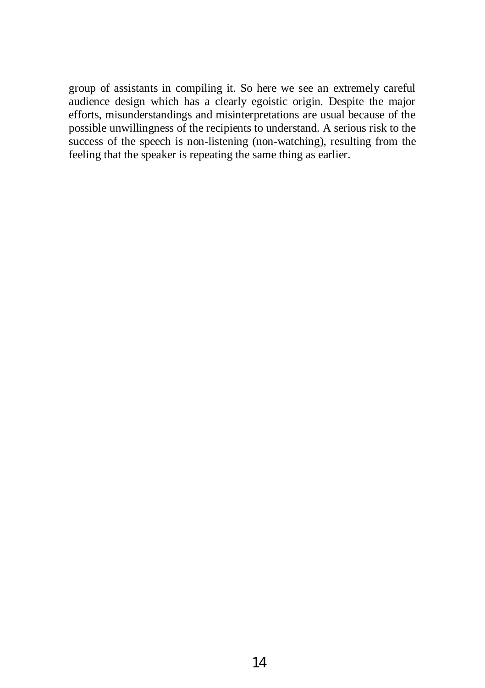group of assistants in compiling it. So here we see an extremely careful audience design which has a clearly egoistic origin. Despite the major efforts, misunderstandings and misinterpretations are usual because of the possible unwillingness of the recipients to understand. A serious risk to the success of the speech is non-listening (non-watching), resulting from the feeling that the speaker is repeating the same thing as earlier.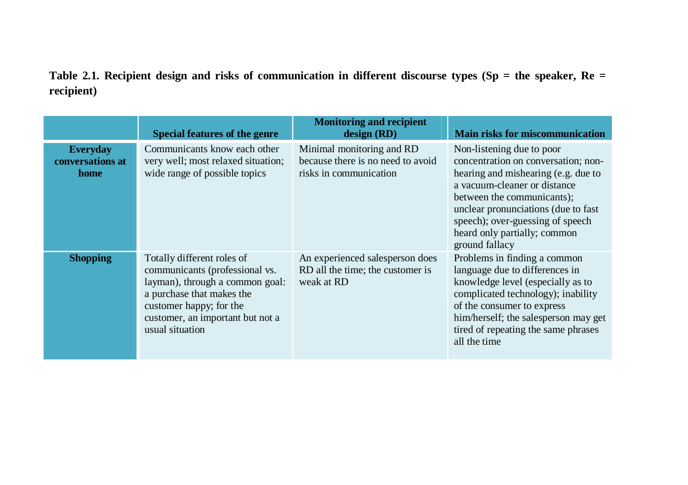**Table 2.1. Recipient design and risks of communication in different discourse types (Sp = the speaker, Re = recipient)** 

|                                             | <b>Special features of the genre</b>                                                                                                                                                                           | <b>Monitoring and recipient</b><br>design (RD)                                           | <b>Main risks for miscommunication</b>                                                                                                                                                                                                                                                             |
|---------------------------------------------|----------------------------------------------------------------------------------------------------------------------------------------------------------------------------------------------------------------|------------------------------------------------------------------------------------------|----------------------------------------------------------------------------------------------------------------------------------------------------------------------------------------------------------------------------------------------------------------------------------------------------|
| <b>Everyday</b><br>conversations at<br>home | Communicants know each other<br>very well; most relaxed situation;<br>wide range of possible topics                                                                                                            | Minimal monitoring and RD<br>because there is no need to avoid<br>risks in communication | Non-listening due to poor<br>concentration on conversation; non-<br>hearing and mishearing (e.g. due to<br>a vacuum-cleaner or distance<br>between the communicants):<br>unclear pronunciations (due to fast<br>speech); over-guessing of speech<br>heard only partially; common<br>ground fallacy |
| <b>Shopping</b>                             | Totally different roles of<br>communicants (professional vs.<br>layman), through a common goal:<br>a purchase that makes the<br>customer happy; for the<br>customer, an important but not a<br>usual situation | An experienced salesperson does<br>RD all the time; the customer is<br>weak at RD        | Problems in finding a common<br>language due to differences in<br>knowledge level (especially as to<br>complicated technology); inability<br>of the consumer to express<br>him/herself; the salesperson may get<br>tired of repeating the same phrases<br>all the time                             |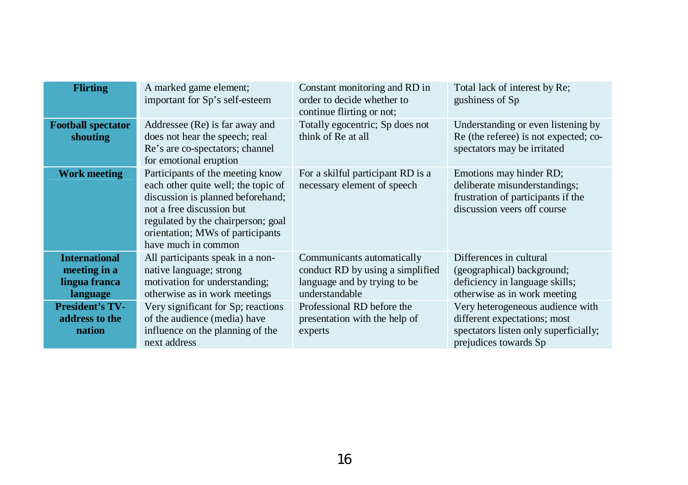| <b>Flirting</b>                                                   | A marked game element;<br>important for Sp's self-esteem                                                                                                                                                                                   | Constant monitoring and RD in<br>order to decide whether to<br>continue flirting or not;                          | Total lack of interest by Re;<br>gushiness of Sp                                                                                   |
|-------------------------------------------------------------------|--------------------------------------------------------------------------------------------------------------------------------------------------------------------------------------------------------------------------------------------|-------------------------------------------------------------------------------------------------------------------|------------------------------------------------------------------------------------------------------------------------------------|
| <b>Football spectator</b><br>shouting                             | Addressee (Re) is far away and<br>does not hear the speech; real<br>Re's are co-spectators; channel<br>for emotional eruption                                                                                                              | Totally egocentric; Sp does not<br>think of Re at all                                                             | Understanding or even listening by<br>Re (the referee) is not expected; co-<br>spectators may be irritated                         |
| <b>Work meeting</b>                                               | Participants of the meeting know<br>each other quite well; the topic of<br>discussion is planned beforehand;<br>not a free discussion but<br>regulated by the chairperson; goal<br>orientation; MWs of participants<br>have much in common | For a skilful participant RD is a<br>necessary element of speech                                                  | Emotions may hinder RD;<br>deliberate misunderstandings;<br>frustration of participants if the<br>discussion veers off course      |
| <b>International</b><br>meeting in a<br>lingua franca<br>language | All participants speak in a non-<br>native language; strong<br>motivation for understanding;<br>otherwise as in work meetings                                                                                                              | Communicants automatically<br>conduct RD by using a simplified<br>language and by trying to be.<br>understandable | Differences in cultural<br>(geographical) background;<br>deficiency in language skills;<br>otherwise as in work meeting            |
| <b>President's TV-</b><br>address to the<br>nation                | Very significant for Sp; reactions<br>of the audience (media) have<br>influence on the planning of the<br>next address                                                                                                                     | Professional RD before the<br>presentation with the help of<br>experts                                            | Very heterogeneous audience with<br>different expectations; most<br>spectators listen only superficially;<br>prejudices towards Sp |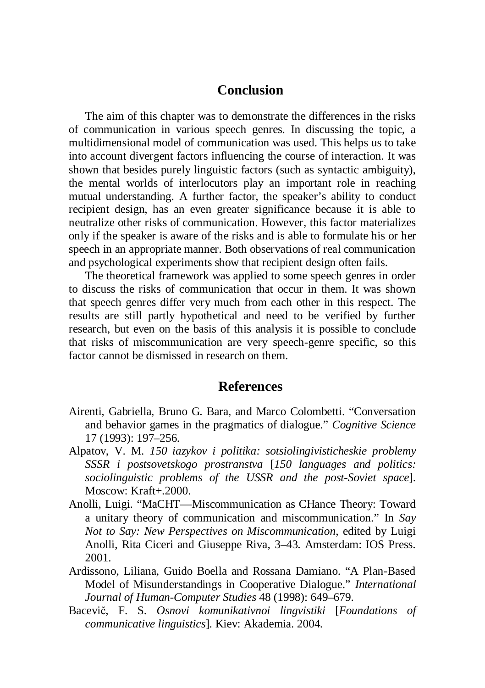#### **Conclusion**

The aim of this chapter was to demonstrate the differences in the risks of communication in various speech genres. In discussing the topic, a multidimensional model of communication was used. This helps us to take into account divergent factors influencing the course of interaction. It was shown that besides purely linguistic factors (such as syntactic ambiguity), the mental worlds of interlocutors play an important role in reaching mutual understanding. A further factor, the speaker's ability to conduct recipient design, has an even greater significance because it is able to neutralize other risks of communication. However, this factor materializes only if the speaker is aware of the risks and is able to formulate his or her speech in an appropriate manner. Both observations of real communication and psychological experiments show that recipient design often fails.

The theoretical framework was applied to some speech genres in order to discuss the risks of communication that occur in them. It was shown that speech genres differ very much from each other in this respect. The results are still partly hypothetical and need to be verified by further research, but even on the basis of this analysis it is possible to conclude that risks of miscommunication are very speech-genre specific, so this factor cannot be dismissed in research on them.

#### **References**

- Airenti, Gabriella, Bruno G. Bara, and Marco Colombetti. "Conversation and behavior games in the pragmatics of dialogue." *Cognitive Science*  17 (1993): 197–256.
- Alpatov, V. M. *150 iazykov i politika: sotsiolingivisticheskie problemy SSSR i postsovetskogo prostranstva* [*150 languages and politics: sociolinguistic problems of the USSR and the post-Soviet space*]. Moscow: Kraft+.2000.
- Anolli, Luigi. "MaCHT—Miscommunication as CHance Theory: Toward a unitary theory of communication and miscommunication." In *Say Not to Say: New Perspectives on Miscommunication*, edited by Luigi Anolli, Rita Ciceri and Giuseppe Riva, 3–43. Amsterdam: IOS Press. 2001.
- Ardissono, Liliana, Guido Boella and Rossana Damiano. "A Plan-Based Model of Misunderstandings in Cooperative Dialogue." *International Journal of Human-Computer Studies* 48 (1998): 649–679.
- Baceviþ, F. S. *Osnovi komunikativnoi lingvistiki* [*Foundations of communicative linguistics*]. Kiev: Akademia. 2004.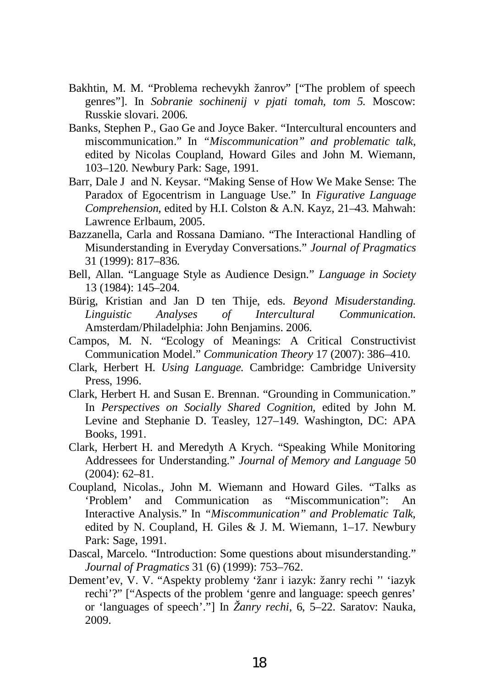- Bakhtin, M. M. "Problema rechevykh žanrov" ["The problem of speech genres"]. In *Sobranie sochinenij v pjati tomah, tom 5.* Moscow: Russkie slovari. 2006.
- Banks, Stephen P., Gao Ge and Joyce Baker. "Intercultural encounters and miscommunication." In *"Miscommunication" and problematic talk,*  edited by Nicolas Coupland, Howard Giles and John M. Wiemann, 103–120. Newbury Park: Sage, 1991.
- Barr, Dale J and N. Keysar. "Making Sense of How We Make Sense: The Paradox of Egocentrism in Language Use." In *Figurative Language Comprehension*, edited by H.I. Colston & A.N. Kayz, 21–43. Mahwah: Lawrence Erlbaum, 2005.
- Bazzanella, Carla and Rossana Damiano. "The Interactional Handling of Misunderstanding in Everyday Conversations." *Journal of Pragmatics*  31 (1999): 817–836.
- Bell, Allan. "Language Style as Audience Design." *Language in Society*  13 (1984): 145–204.
- Bürig, Kristian and Jan D ten Thije, eds. *Beyond Misuderstanding. Linguistic Analyses of Intercultural Communication.*  Amsterdam/Philadelphia: John Benjamins. 2006.
- Campos, M. N. "Ecology of Meanings: A Critical Constructivist Communication Model." *Communication Theory* 17 (2007): 386–410.
- Clark, Herbert H. *Using Language.* Cambridge: Cambridge University Press, 1996.
- Clark, Herbert H. and Susan E. Brennan. "Grounding in Communication." In *Perspectives on Socially Shared Cognition,* edited by John M. Levine and Stephanie D. Teasley, 127–149. Washington, DC: APA Books, 1991.
- Clark, Herbert H. and Meredyth A Krych. "Speaking While Monitoring Addressees for Understanding." *Journal of Memory and Language* 50 (2004): 62–81.
- Coupland, Nicolas., John M. Wiemann and Howard Giles. "Talks as 'Problem' and Communication as "Miscommunication": An Interactive Analysis." In *"Miscommunication" and Problematic Talk,*  edited by N. Coupland, H. Giles & J. M. Wiemann, 1–17. Newbury Park: Sage, 1991.
- Dascal, Marcelo. "Introduction: Some questions about misunderstanding." *Journal of Pragmatics* 31 (6) (1999): 753–762.
- Dement'ev, V. V. "Aspekty problemy 'žanr i iazyk: žanry rechi '' 'iazyk rechi'?" ["Aspects of the problem 'genre and language: speech genres' or 'languages of speech'."] In *Žanry rechi*, 6, 5–22. Saratov: Nauka, 2009.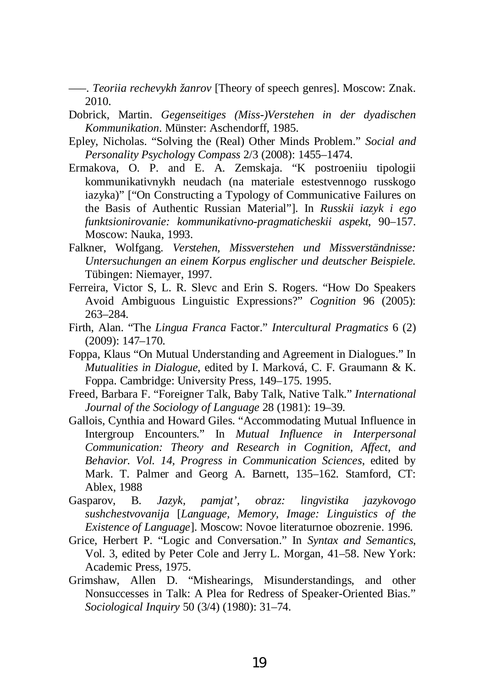–––. *Teoriia rechevykh žanrov* [Theory of speech genres]. Moscow: Znak. 2010.

- Dobrick, Martin. *Gegenseitiges (Miss-)Verstehen in der dyadischen Kommunikation*. Münster: Aschendorff, 1985.
- Epley, Nicholas. "Solving the (Real) Other Minds Problem." *Social and Personality Psycholog*y *Compass* 2/3 (2008): 1455–1474.
- Ermakova, O. P. and E. A. Zemskaja. "K postroeniiu tipologii kommunikativnykh neudach (na materiale estestvennogo russkogo iazyka)" ["On Constructing a Typology of Communicative Failures on the Basis of Authentic Russian Material"]. In *Russkii iazyk i ego funktsionirovanie: kommunikativno-pragmaticheskii aspekt*, 90–157. Moscow: Nauka, 1993.
- Falkner, Wolfgang. *Verstehen, Missverstehen und Missverständnisse: Untersuchungen an einem Korpus englischer und deutscher Beispiele.*  Tübingen: Niemayer, 1997.
- Ferreira, Victor S, L. R. Slevc and Erin S. Rogers. "How Do Speakers Avoid Ambiguous Linguistic Expressions?" *Cognition* 96 (2005): 263–284.
- Firth, Alan. "The *Lingua Franca* Factor." *Intercultural Pragmatics* 6 (2) (2009): 147–170.
- Foppa, Klaus "On Mutual Understanding and Agreement in Dialogues." In *Mutualities in Dialogue*, edited by I. Marková, C. F. Graumann & K. Foppa. Cambridge: University Press, 149–175. 1995.
- Freed, Barbara F. "Foreigner Talk, Baby Talk, Native Talk." *International Journal of the Sociology of Language* 28 (1981): 19–39.
- Gallois, Cynthia and Howard Giles. "Accommodating Mutual Influence in Intergroup Encounters." In *Mutual Influence in Interpersonal Communication: Theory and Research in Cognition, Affect, and Behavior. Vol. 14, Progress in Communication Sciences*, edited by Mark. T. Palmer and Georg A. Barnett, 135–162. Stamford, CT: Ablex, 1988
- Gasparov, B. *Jazyk, pamjat', obraz: lingvistika jazykovogo sushchestvovanija* [*Language, Memory, Image: Linguistics of the Existence of Language*]. Moscow: Novoe literaturnoe obozrenie. 1996.
- Grice, Herbert P. "Logic and Conversation." In *Syntax and Semantics*, Vol. 3, edited by Peter Cole and Jerry L. Morgan, 41–58. New York: Academic Press, 1975.
- Grimshaw, Allen D. "Mishearings, Misunderstandings, and other Nonsuccesses in Talk: A Plea for Redress of Speaker-Oriented Bias." *Sociological Inquiry* 50 (3/4) (1980): 31–74.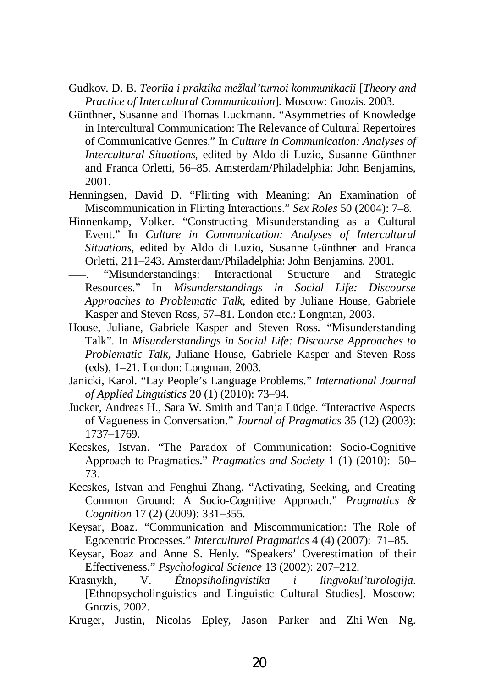- Gudkov. D. B. *Teoriia i praktika mežkul'turnoi kommunikacii* [*Theory and Practice of Intercultural Communication*]. Moscow: Gnozis. 2003.
- Günthner, Susanne and Thomas Luckmann. "Asymmetries of Knowledge in Intercultural Communication: The Relevance of Cultural Repertoires of Communicative Genres." In *Culture in Communication: Analyses of Intercultural Situations,* edited by Aldo di Luzio, Susanne Günthner and Franca Orletti, 56–85. Amsterdam/Philadelphia: John Benjamins, 2001.
- Henningsen, David D. "Flirting with Meaning: An Examination of Miscommunication in Flirting Interactions." *Sex Roles* 50 (2004): 7–8.
- Hinnenkamp, Volker. "Constructing Misunderstanding as a Cultural Event." In *Culture in Communication: Analyses of Intercultural Situations,* edited by Aldo di Luzio, Susanne Günthner and Franca Orletti, 211–243. Amsterdam/Philadelphia: John Benjamins, 2001.
- "Misunderstandings: Interactional Structure and Strategic Resources." In *Misunderstandings in Social Life: Discourse Approaches to Problematic Talk*, edited by Juliane House, Gabriele Kasper and Steven Ross, 57–81. London etc.: Longman, 2003.
- House, Juliane, Gabriele Kasper and Steven Ross. "Misunderstanding Talk". In *Misunderstandings in Social Life: Discourse Approaches to Problematic Talk,* Juliane House, Gabriele Kasper and Steven Ross (eds), 1–21*.* London: Longman, 2003.
- Janicki, Karol. "Lay People's Language Problems." *International Journal of Applied Linguistics* 20 (1) (2010): 73–94.
- Jucker, Andreas H., Sara W. Smith and Tanja Lüdge. "Interactive Aspects of Vagueness in Conversation*.*" *Journal of Pragmatics* 35 (12) (2003): 1737–1769.
- Kecskes, Istvan. "The Paradox of Communication: Socio-Cognitive Approach to Pragmatics." *Pragmatics and Society* 1 (1) (2010): 50– 73.
- Kecskes, Istvan and Fenghui Zhang. "Activating, Seeking, and Creating Common Ground: A Socio-Cognitive Approach." *Pragmatics & Cognition* 17 (2) (2009): 331–355.
- Keysar, Boaz. "Communication and Miscommunication: The Role of Egocentric Processes." *Intercultural Pragmatics* 4 (4) (2007): 71–85.
- Keysar, Boaz and Anne S. Henly. "Speakers' Overestimation of their Effectiveness." *Psychological Science* 13 (2002): 207–212.
- Krasnykh, V. *Étnopsiholingvistika i lingvokul'turologija*. [Ethnopsycholinguistics and Linguistic Cultural Studies]. Moscow: Gnozis, 2002.
- Kruger, Justin, Nicolas Epley, Jason Parker and Zhi-Wen Ng.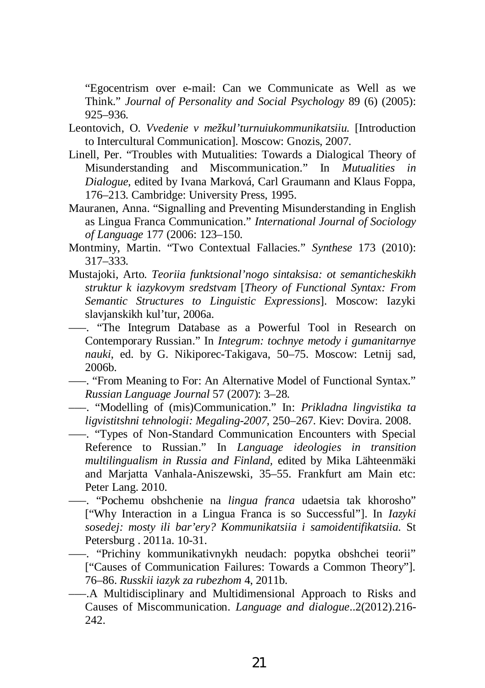"Egocentrism over e-mail: Can we Communicate as Well as we Think." *Journal of Personality and Social Psychology* 89 (6) (2005): 925–936.

- Leontovich, O. *Vvedenie v mežkul'turnuiukommunikatsiiu.* [Introduction to Intercultural Communication]. Moscow: Gnozis, 2007.
- Linell, Per. "Troubles with Mutualities: Towards a Dialogical Theory of Misunderstanding and Miscommunication." In *Mutualities in Dialogue*, edited by Ivana Marková, Carl Graumann and Klaus Foppa, 176–213. Cambridge: University Press, 1995.
- Mauranen, Anna. "Signalling and Preventing Misunderstanding in English as Lingua Franca Communication." *International Journal of Sociology of Language* 177 (2006: 123–150.
- Montminy, Martin. "Two Contextual Fallacies." *Synthese* 173 (2010): 317–333.
- Mustajoki, Arto. *Teoriia funktsional'nogo sintaksisa: ot semanticheskikh struktur k iazykovym sredstvam* [*Theory of Functional Syntax: From Semantic Structures to Linguistic Expressions*]. Moscow: Iazyki slavjanskikh kul'tur, 2006a.
- –––. "The Integrum Database as a Powerful Tool in Research on Contemporary Russian." In *Integrum: tochnye metody i gumanitarnye nauki*, ed. by G. Nikiporec-Takigava, 50–75. Moscow: Letnij sad, 2006b.
- –––. "From Meaning to For: An Alternative Model of Functional Syntax." *Russian Language Journal* 57 (2007): 3–28.
- –––. "Modelling of (mis)Communication." In: *Prikladna lingvistika ta ligvistitshni tehnologii: Megaling-2007*, 250–267. Kiev: Dovira. 2008.

–––. "Types of Non-Standard Communication Encounters with Special Reference to Russian." In *Language ideologies in transition multilingualism in Russia and Finland,* edited by Mika Lähteenmäki and Marjatta Vanhala-Aniszewski, 35–55. Frankfurt am Main etc: Peter Lang. 2010.

- –––. "Pochemu obshchenie na *lingua franca* udaetsia tak khorosho" ["Why Interaction in a Lingua Franca is so Successful"]. In *Iazyki sosedej: mosty ili bar'ery? Kommunikatsiia i samoidentifikatsiia.* St Petersburg . 2011a. 10-31.
- –––. "Prichiny kommunikativnykh neudach: popytka obshchei teorii" ["Causes of Communication Failures: Towards a Common Theory"]. 76–86. *Russkii iazyk za rubezhom* 4, 2011b.
- –––.A Multidisciplinary and Multidimensional Approach to Risks and Causes of Miscommunication. *Language and dialogue*..2(2012).216- 242.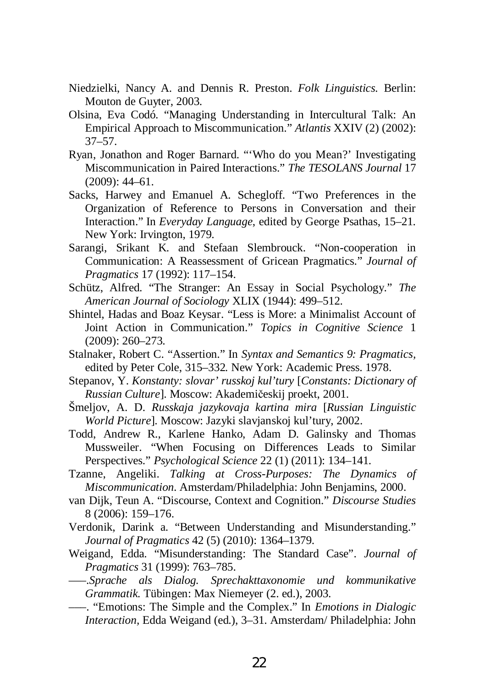- Niedzielki, Nancy A. and Dennis R. Preston. *Folk Linguistics.* Berlin: Mouton de Guyter, 2003.
- Olsina, Eva Codó. "Managing Understanding in Intercultural Talk: An Empirical Approach to Miscommunication." *Atlantis* XXIV (2) (2002): 37–57.
- Ryan, Jonathon and Roger Barnard. "'Who do you Mean?' Investigating Miscommunication in Paired Interactions." *The TESOLANS Journal* 17 (2009): 44–61.
- Sacks, Harwey and Emanuel A. Schegloff. "Two Preferences in the Organization of Reference to Persons in Conversation and their Interaction." In *Everyday Language*, edited by George Psathas, 15–21. New York: Irvington, 1979.
- Sarangi, Srikant K. and Stefaan Slembrouck. "Non-cooperation in Communication: A Reassessment of Gricean Pragmatics." *Journal of Pragmatics* 17 (1992): 117–154.
- Schütz, Alfred. "The Stranger: An Essay in Social Psychology." *The American Journal of Sociology* XLIX (1944): 499–512.
- Shintel, Hadas and Boaz Keysar. "Less is More: a Minimalist Account of Joint Action in Communication." *Topics in Cognitive Science* 1 (2009): 260–273.
- Stalnaker, Robert C. "Assertion." In *Syntax and Semantics 9: Pragmatics,* edited by Peter Cole, 315–332*.* New York: Academic Press. 1978.
- Stepanov, Y. *Konstanty: slovar' russkoj kul'tury* [*Constants: Dictionary of Russian Culture*]. Moscow: Akademičeskij proekt, 2001.
- Šmeljov, A. D. *Russkaja jazykovaja kartina mira* [*Russian Linguistic World Picture*]. Moscow: Jazyki slavjanskoj kul'tury, 2002.
- Todd, Andrew R., Karlene Hanko, Adam D. Galinsky and Thomas Mussweiler. "When Focusing on Differences Leads to Similar Perspectives." *Psychological Science* 22 (1) (2011): 134–141.
- Tzanne, Angeliki. *Talking at Cross-Purposes: The Dynamics of Miscommunication*. Amsterdam/Philadelphia: John Benjamins, 2000.
- van Dijk, Teun A. "Discourse, Context and Cognition." *Discourse Studies*  8 (2006): 159–176.
- Verdonik, Darink a. "Between Understanding and Misunderstanding." *Journal of Pragmatics* 42 (5) (2010): 1364–1379.
- Weigand, Edda. "Misunderstanding: The Standard Case". *Journal of Pragmatics* 31 (1999): 763–785.
- –––.*Sprache als Dialog. Sprechakttaxonomie und kommunikative Grammatik.* Tübingen: Max Niemeyer (2. ed.), 2003.
- –––. "Emotions: The Simple and the Complex." In *Emotions in Dialogic Interaction,* Edda Weigand (ed.), 3–31. Amsterdam/ Philadelphia: John